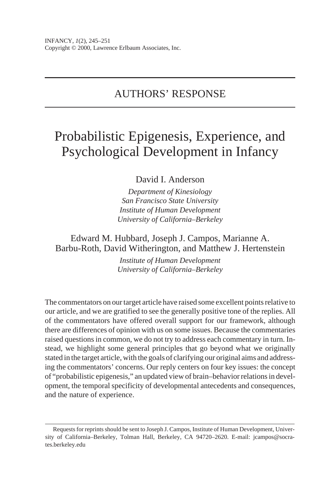# AUTHORS' RESPONSE

# Probabilistic Epigenesis, Experience, and Psychological Development in Infancy

David I. Anderson

*Department of Kinesiology San Francisco State University Institute of Human Development University of California–Berkeley*

Edward M. Hubbard, Joseph J. Campos, Marianne A. Barbu-Roth, David Witherington, and Matthew J. Hertenstein

> *Institute of Human Development University of California–Berkeley*

The commentators on our target article have raised some excellent points relative to our article, and we are gratified to see the generally positive tone of the replies. All of the commentators have offered overall support for our framework, although there are differences of opinion with us on some issues. Because the commentaries raised questions in common, we do not try to address each commentary in turn. Instead, we highlight some general principles that go beyond what we originally stated in the target article, with the goals of clarifying our original aims and addressing the commentators' concerns. Our reply centers on four key issues: the concept of "probabilistic epigenesis," an updated view of brain–behavior relations in development, the temporal specificity of developmental antecedents and consequences, and the nature of experience.

Requests for reprints should be sent to Joseph J. Campos, Institute of Human Development, University of California–Berkeley, Tolman Hall, Berkeley, CA 94720–2620. E-mail: jcampos@socrates.berkeley.edu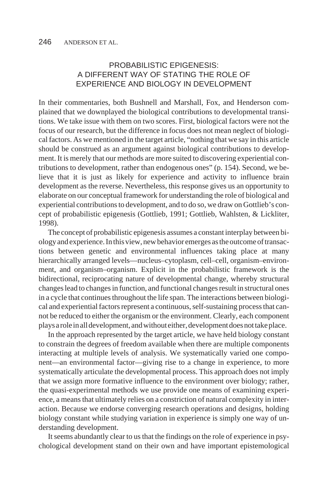## PROBABILISTIC EPIGENESIS: A DIFFERENT WAY OF STATING THE ROLE OF EXPERIENCE AND BIOLOGY IN DEVELOPMENT

In their commentaries, both Bushnell and Marshall, Fox, and Henderson complained that we downplayed the biological contributions to developmental transitions. We take issue with them on two scores. First, biological factors were not the focus of our research, but the difference in focus does not mean neglect of biological factors. As we mentioned in the target article, "nothing that we say in this article should be construed as an argument against biological contributions to development. It is merely that our methods are more suited to discovering experiential contributions to development, rather than endogenous ones" (p. 154). Second, we believe that it is just as likely for experience and activity to influence brain development as the reverse. Nevertheless, this response gives us an opportunity to elaborate on our conceptual framework for understanding the role of biological and experiential contributions to development, and to do so, we draw on Gottlieb's concept of probabilistic epigenesis (Gottlieb, 1991; Gottlieb, Wahlsten, & Lickliter, 1998).

The concept of probabilistic epigenesis assumes a constant interplay between biology and experience. In this view, new behavior emerges as the outcome of transactions between genetic and environmental influences taking place at many hierarchically arranged levels—nucleus–cytoplasm, cell–cell, organism–environment, and organism–organism. Explicit in the probabilistic framework is the bidirectional, reciprocating nature of developmental change, whereby structural changes lead to changes in function, and functional changes result in structural ones in a cycle that continues throughout the life span. The interactions between biological and experiential factors represent a continuous, self-sustaining process that cannot be reduced to either the organism or the environment. Clearly, each component plays a role in all development, and without either, development does not take place.

In the approach represented by the target article, we have held biology constant to constrain the degrees of freedom available when there are multiple components interacting at multiple levels of analysis. We systematically varied one component—an environmental factor—giving rise to a change in experience, to more systematically articulate the developmental process. This approach does not imply that we assign more formative influence to the environment over biology; rather, the quasi-experimental methods we use provide one means of examining experience, a means that ultimately relies on a constriction of natural complexity in interaction. Because we endorse converging research operations and designs, holding biology constant while studying variation in experience is simply one way of understanding development.

It seems abundantly clear to us that the findings on the role of experience in psychological development stand on their own and have important epistemological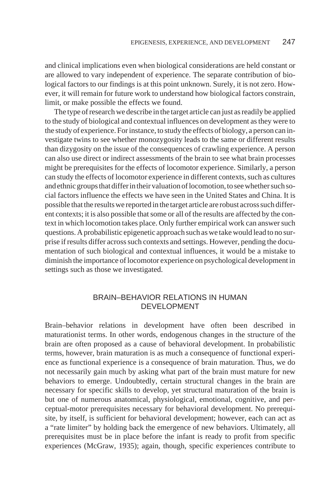and clinical implications even when biological considerations are held constant or are allowed to vary independent of experience. The separate contribution of biological factors to our findings is at this point unknown. Surely, it is not zero. However, it will remain for future work to understand how biological factors constrain, limit, or make possible the effects we found.

The type of research we describe in the target article can just as readily be applied to the study of biological and contextual influences on development as they were to the study of experience. For instance, to study the effects of biology, a person can investigate twins to see whether monozygosity leads to the same or different results than dizygosity on the issue of the consequences of crawling experience. A person can also use direct or indirect assessments of the brain to see what brain processes might be prerequisites for the effects of locomotor experience. Similarly, a person can study the effects of locomotor experience in different contexts, such as cultures and ethnic groups that differ in their valuation of locomotion, to see whether such social factors influence the effects we have seen in the United States and China. It is possible that the results we reported in the target article are robust across such different contexts; it is also possible that some or all of the results are affected by the context in which locomotion takes place. Only further empirical work can answer such questions. A probabilistic epigenetic approach such as we take would lead to no surprise if results differ across such contexts and settings. However, pending the documentation of such biological and contextual influences, it would be a mistake to diminish the importance of locomotor experience on psychological development in settings such as those we investigated.

#### BRAIN–BEHAVIOR RELATIONS IN HUMAN DEVELOPMENT

Brain–behavior relations in development have often been described in maturationist terms. In other words, endogenous changes in the structure of the brain are often proposed as a cause of behavioral development. In probabilistic terms, however, brain maturation is as much a consequence of functional experience as functional experience is a consequence of brain maturation. Thus, we do not necessarily gain much by asking what part of the brain must mature for new behaviors to emerge. Undoubtedly, certain structural changes in the brain are necessary for specific skills to develop, yet structural maturation of the brain is but one of numerous anatomical, physiological, emotional, cognitive, and perceptual-motor prerequisites necessary for behavioral development. No prerequisite, by itself, is sufficient for behavioral development; however, each can act as a "rate limiter" by holding back the emergence of new behaviors. Ultimately, all prerequisites must be in place before the infant is ready to profit from specific experiences (McGraw, 1935); again, though, specific experiences contribute to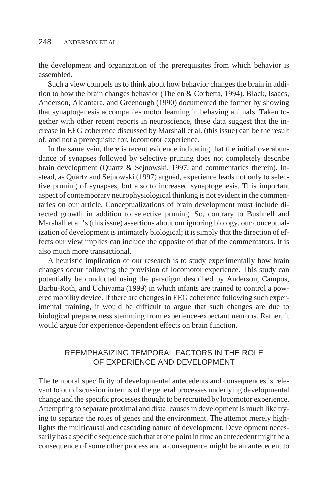the development and organization of the prerequisites from which behavior is assembled.

Such a view compels us to think about how behavior changes the brain in addition to how the brain changes behavior (Thelen & Corbetta, 1994). Black, Isaacs, Anderson, Alcantara, and Greenough (1990) documented the former by showing that synaptogenesis accompanies motor learning in behaving animals. Taken together with other recent reports in neuroscience, these data suggest that the increase in EEG coherence discussed by Marshall et al. (this issue) can be the result of, and not a prerequisite for, locomotor experience.

In the same vein, there is recent evidence indicating that the initial overabundance of synapses followed by selective pruning does not completely describe brain development (Quartz & Sejnowski, 1997, and commentaries therein). Instead, as Quartz and Sejnowski (1997) argued, experience leads not only to selective pruning of synapses, but also to increased synaptogenesis. This important aspect of contemporary neurophysiological thinking is not evident in the commentaries on our article. Conceptualizations of brain development must include directed growth in addition to selective pruning. So, contrary to Bushnell and Marshall et al.'s (this issue) assertions about our ignoring biology, our conceptualization of development is intimately biological; it is simply that the direction of effects our view implies can include the opposite of that of the commentators. It is also much more transactional.

A heuristic implication of our research is to study experimentally how brain changes occur following the provision of locomotor experience. This study can potentially be conducted using the paradigm described by Anderson, Campos, Barbu-Roth, and Uchiyama (1999) in which infants are trained to control a powered mobility device. If there are changes in EEG coherence following such experimental training, it would be difficult to argue that such changes are due to biological preparedness stemming from experience-expectant neurons. Rather, it would argue for experience-dependent effects on brain function.

#### REEMPHASIZING TEMPORAL FACTORS IN THE ROLE OF EXPERIENCE AND DEVELOPMENT

The temporal specificity of developmental antecedents and consequences is relevant to our discussion in terms of the general processes underlying developmental change and the specific processes thought to be recruited by locomotor experience. Attempting to separate proximal and distal causes in development is much like trying to separate the roles of genes and the environment. The attempt merely highlights the multicausal and cascading nature of development. Development necessarily has a specific sequence such that at one point in time an antecedent might be a consequence of some other process and a consequence might be an antecedent to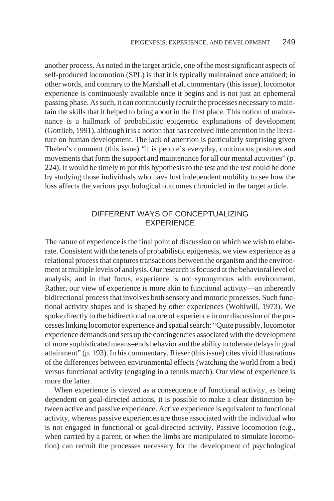another process. As noted in the target article, one of the most significant aspects of self-produced locomotion (SPL) is that it is typically maintained once attained; in other words, and contrary to the Marshall et al. commentary (this issue), locomotor experience is continuously available once it begins and is not just an ephemeral passing phase. As such, it can continuously recruit the processes necessary to maintain the skills that it helped to bring about in the first place. This notion of maintenance is a hallmark of probabilistic epigenetic explanations of development (Gottlieb, 1991), although it is a notion that has received little attention in the literature on human development. The lack of attention is particularly surprising given Thelen's comment (this issue) "it is people's everyday, continuous postures and movements that form the support and maintenance for all our mental activities" (p. 224). It would be timely to put this hypothesis to the test and the test could be done by studying those individuals who have lost independent mobility to see how the loss affects the various psychological outcomes chronicled in the target article.

### DIFFERENT WAYS OF CONCEPTUALIZING **EXPERIENCE**

The nature of experience is the final point of discussion on which we wish to elaborate. Consistent with the tenets of probabilistic epigenesis, we view experience as a relational process that captures transactions between the organism and the environment at multiple levels of analysis. Our research is focused at the behavioral level of analysis, and in that focus, experience is not synonymous with environment. Rather, our view of experience is more akin to functional activity—an inherently bidirectional process that involves both sensory and motoric processes. Such functional activity shapes and is shaped by other experiences (Wohlwill, 1973). We spoke directly to the bidirectional nature of experience in our discussion of the processes linking locomotor experience and spatial search: "Quite possibly, locomotor experience demands and sets up the contingencies associated with the development of more sophisticated means–ends behavior and the ability to tolerate delays in goal attainment" (p. 193). In his commentary, Rieser (this issue) cites vivid illustrations of the differences between environmental effects (watching the world from a bed) versus functional activity (engaging in a tennis match). Our view of experience is more the latter.

When experience is viewed as a consequence of functional activity, as being dependent on goal-directed actions, it is possible to make a clear distinction between active and passive experience. Active experience is equivalent to functional activity, whereas passive experiences are those associated with the individual who is not engaged in functional or goal-directed activity. Passive locomotion (e.g., when carried by a parent, or when the limbs are manipulated to simulate locomotion) can recruit the processes necessary for the development of psychological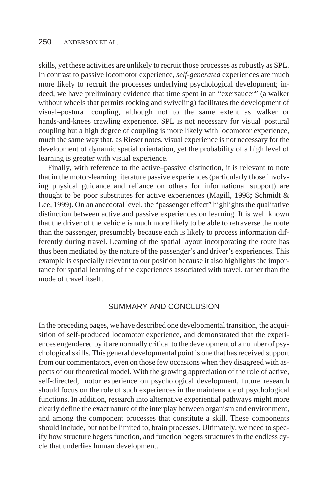skills, yet these activities are unlikely to recruit those processes as robustly as SPL. In contrast to passive locomotor experience, *self-generated* experiences are much more likely to recruit the processes underlying psychological development; indeed, we have preliminary evidence that time spent in an "exersaucer" (a walker without wheels that permits rocking and swiveling) facilitates the development of visual–postural coupling, although not to the same extent as walker or hands-and-knees crawling experience. SPL is not necessary for visual–postural coupling but a high degree of coupling is more likely with locomotor experience, much the same way that, as Rieser notes, visual experience is not necessary for the development of dynamic spatial orientation, yet the probability of a high level of learning is greater with visual experience.

Finally, with reference to the active–passive distinction, it is relevant to note that in the motor-learning literature passive experiences (particularly those involving physical guidance and reliance on others for informational support) are thought to be poor substitutes for active experiences (Magill, 1998; Schmidt & Lee, 1999). On an anecdotal level, the "passenger effect" highlights the qualitative distinction between active and passive experiences on learning. It is well known that the driver of the vehicle is much more likely to be able to retraverse the route than the passenger, presumably because each is likely to process information differently during travel. Learning of the spatial layout incorporating the route has thus been mediated by the nature of the passenger's and driver's experiences. This example is especially relevant to our position because it also highlights the importance for spatial learning of the experiences associated with travel, rather than the mode of travel itself.

#### SUMMARY AND CONCLUSION

In the preceding pages, we have described one developmental transition, the acquisition of self-produced locomotor experience, and demonstrated that the experiences engendered by it are normally critical to the development of a number of psychological skills. This general developmental point is one that has received support from our commentators, even on those few occasions when they disagreed with aspects of our theoretical model. With the growing appreciation of the role of active, self-directed, motor experience on psychological development, future research should focus on the role of such experiences in the maintenance of psychological functions. In addition, research into alternative experiential pathways might more clearly define the exact nature of the interplay between organism and environment, and among the component processes that constitute a skill. These components should include, but not be limited to, brain processes. Ultimately, we need to specify how structure begets function, and function begets structures in the endless cycle that underlies human development.